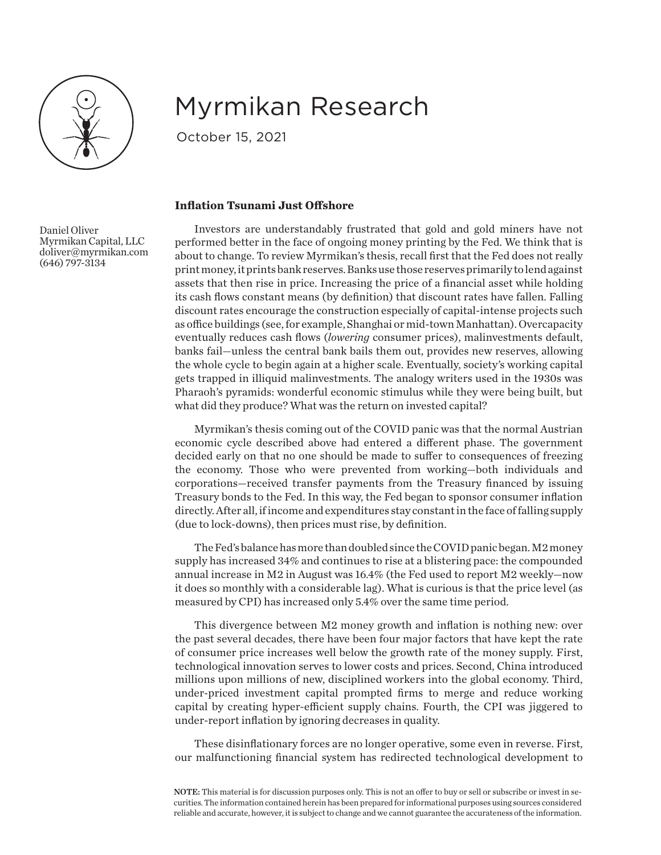

Daniel Oliver

(646) 797-3134

Myrmikan Capital, LLC doliver@myrmikan.com

## Myrmikan Research

October 15, 2021

## **Inflation Tsunami Just Offshore**

Investors are understandably frustrated that gold and gold miners have not performed better in the face of ongoing money printing by the Fed. We think that is about to change. To review Myrmikan's thesis, recall first that the Fed does not really print money, it prints bank reserves. Banks use those reserves primarily to lend against assets that then rise in price. Increasing the price of a financial asset while holding its cash flows constant means (by definition) that discount rates have fallen. Falling discount rates encourage the construction especially of capital-intense projects such as office buildings (see, for example, Shanghai or mid-town Manhattan). Overcapacity eventually reduces cash flows (*lowering* consumer prices), malinvestments default, banks fail—unless the central bank bails them out, provides new reserves, allowing the whole cycle to begin again at a higher scale. Eventually, society's working capital gets trapped in illiquid malinvestments. The analogy writers used in the 1930s was Pharaoh's pyramids: wonderful economic stimulus while they were being built, but what did they produce? What was the return on invested capital?

Myrmikan's thesis coming out of the COVID panic was that the normal Austrian economic cycle described above had entered a different phase. The government decided early on that no one should be made to suffer to consequences of freezing the economy. Those who were prevented from working—both individuals and corporations—received transfer payments from the Treasury financed by issuing Treasury bonds to the Fed. In this way, the Fed began to sponsor consumer inflation directly. After all, if income and expenditures stay constant in the face of falling supply (due to lock-downs), then prices must rise, by definition.

The Fed's balance has more than doubled since the COVID panic began. M2 money supply has increased 34% and continues to rise at a blistering pace: the compounded annual increase in M2 in August was 16.4% (the Fed used to report M2 weekly—now it does so monthly with a considerable lag). What is curious is that the price level (as measured by CPI) has increased only 5.4% over the same time period.

This divergence between M2 money growth and inflation is nothing new: over the past several decades, there have been four major factors that have kept the rate of consumer price increases well below the growth rate of the money supply. First, technological innovation serves to lower costs and prices. Second, China introduced millions upon millions of new, disciplined workers into the global economy. Third, under-priced investment capital prompted firms to merge and reduce working capital by creating hyper-efficient supply chains. Fourth, the CPI was jiggered to under-report inflation by ignoring decreases in quality.

These disinflationary forces are no longer operative, some even in reverse. First, our malfunctioning financial system has redirected technological development to

NOTE: This material is for discussion purposes only. This is not an offer to buy or sell or subscribe or invest in securities. The information contained herein has been prepared for informational purposes using sources considered reliable and accurate, however, it is subject to change and we cannot guarantee the accurateness of the information.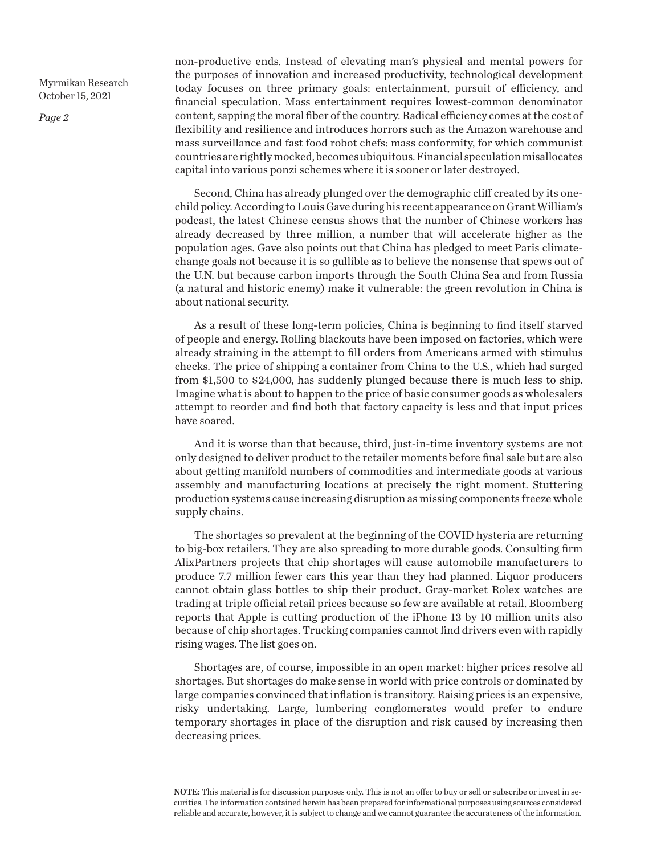*Page 2*

non-productive ends. Instead of elevating man's physical and mental powers for the purposes of innovation and increased productivity, technological development today focuses on three primary goals: entertainment, pursuit of efficiency, and financial speculation. Mass entertainment requires lowest-common denominator content, sapping the moral fiber of the country. Radical efficiency comes at the cost of flexibility and resilience and introduces horrors such as the Amazon warehouse and mass surveillance and fast food robot chefs: mass conformity, for which communist countries are rightly mocked, becomes ubiquitous. Financial speculation misallocates capital into various ponzi schemes where it is sooner or later destroyed.

Second, China has already plunged over the demographic cliff created by its onechild policy. According to Louis Gave during his recent appearance on Grant William's podcast, the latest Chinese census shows that the number of Chinese workers has already decreased by three million, a number that will accelerate higher as the population ages. Gave also points out that China has pledged to meet Paris climatechange goals not because it is so gullible as to believe the nonsense that spews out of the U.N. but because carbon imports through the South China Sea and from Russia (a natural and historic enemy) make it vulnerable: the green revolution in China is about national security.

As a result of these long-term policies, China is beginning to find itself starved of people and energy. Rolling blackouts have been imposed on factories, which were already straining in the attempt to fill orders from Americans armed with stimulus checks. The price of shipping a container from China to the U.S., which had surged from \$1,500 to \$24,000, has suddenly plunged because there is much less to ship. Imagine what is about to happen to the price of basic consumer goods as wholesalers attempt to reorder and find both that factory capacity is less and that input prices have soared.

And it is worse than that because, third, just-in-time inventory systems are not only designed to deliver product to the retailer moments before final sale but are also about getting manifold numbers of commodities and intermediate goods at various assembly and manufacturing locations at precisely the right moment. Stuttering production systems cause increasing disruption as missing components freeze whole supply chains.

The shortages so prevalent at the beginning of the COVID hysteria are returning to big-box retailers. They are also spreading to more durable goods. Consulting firm AlixPartners projects that chip shortages will cause automobile manufacturers to produce 7.7 million fewer cars this year than they had planned. Liquor producers cannot obtain glass bottles to ship their product. Gray-market Rolex watches are trading at triple official retail prices because so few are available at retail. Bloomberg reports that Apple is cutting production of the iPhone 13 by 10 million units also because of chip shortages. Trucking companies cannot find drivers even with rapidly rising wages. The list goes on.

Shortages are, of course, impossible in an open market: higher prices resolve all shortages. But shortages do make sense in world with price controls or dominated by large companies convinced that inflation is transitory. Raising prices is an expensive, risky undertaking. Large, lumbering conglomerates would prefer to endure temporary shortages in place of the disruption and risk caused by increasing then decreasing prices.

NOTE: This material is for discussion purposes only. This is not an offer to buy or sell or subscribe or invest in securities. The information contained herein has been prepared for informational purposes using sources considered reliable and accurate, however, it is subject to change and we cannot guarantee the accurateness of the information.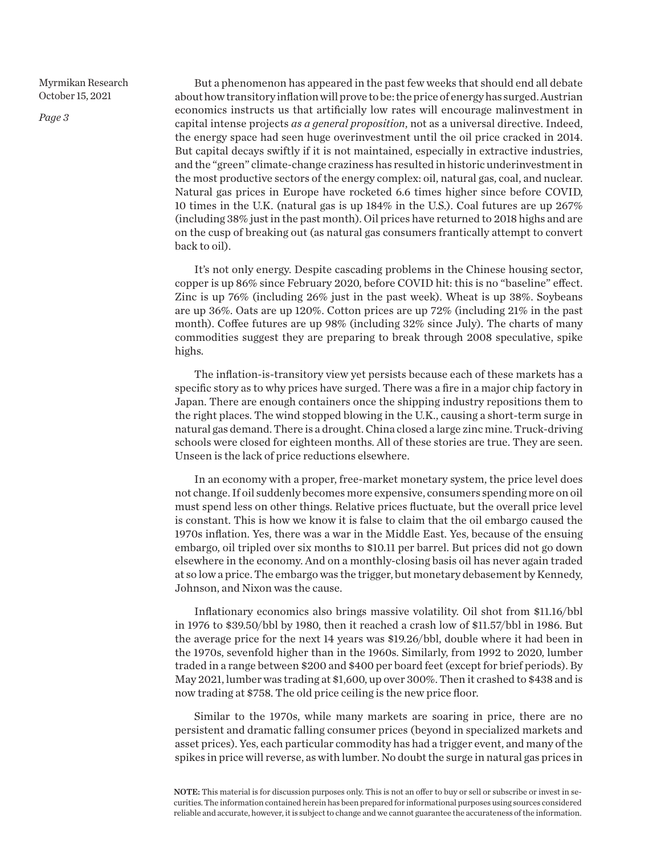*Page 3*

But a phenomenon has appeared in the past few weeks that should end all debate about how transitory inflation will prove to be: the price of energy has surged. Austrian economics instructs us that artificially low rates will encourage malinvestment in capital intense projects *as a general proposition*, not as a universal directive. Indeed, the energy space had seen huge overinvestment until the oil price cracked in 2014. But capital decays swiftly if it is not maintained, especially in extractive industries, and the "green" climate-change craziness has resulted in historic underinvestment in the most productive sectors of the energy complex: oil, natural gas, coal, and nuclear. Natural gas prices in Europe have rocketed 6.6 times higher since before COVID, 10 times in the U.K. (natural gas is up 184% in the U.S.). Coal futures are up 267% (including 38% just in the past month). Oil prices have returned to 2018 highs and are on the cusp of breaking out (as natural gas consumers frantically attempt to convert back to oil).

It's not only energy. Despite cascading problems in the Chinese housing sector, copper is up 86% since February 2020, before COVID hit: this is no "baseline" effect. Zinc is up 76% (including 26% just in the past week). Wheat is up 38%. Soybeans are up 36%. Oats are up 120%. Cotton prices are up 72% (including 21% in the past month). Coffee futures are up 98% (including 32% since July). The charts of many commodities suggest they are preparing to break through 2008 speculative, spike highs.

The inflation-is-transitory view yet persists because each of these markets has a specific story as to why prices have surged. There was a fire in a major chip factory in Japan. There are enough containers once the shipping industry repositions them to the right places. The wind stopped blowing in the U.K., causing a short-term surge in natural gas demand. There is a drought. China closed a large zinc mine. Truck-driving schools were closed for eighteen months. All of these stories are true. They are seen. Unseen is the lack of price reductions elsewhere.

In an economy with a proper, free-market monetary system, the price level does not change. If oil suddenly becomes more expensive, consumers spending more on oil must spend less on other things. Relative prices fluctuate, but the overall price level is constant. This is how we know it is false to claim that the oil embargo caused the 1970s inflation. Yes, there was a war in the Middle East. Yes, because of the ensuing embargo, oil tripled over six months to \$10.11 per barrel. But prices did not go down elsewhere in the economy. And on a monthly-closing basis oil has never again traded at so low a price. The embargo was the trigger, but monetary debasement by Kennedy, Johnson, and Nixon was the cause.

Inflationary economics also brings massive volatility. Oil shot from \$11.16/bbl in 1976 to \$39.50/bbl by 1980, then it reached a crash low of \$11.57/bbl in 1986. But the average price for the next 14 years was \$19.26/bbl, double where it had been in the 1970s, sevenfold higher than in the 1960s. Similarly, from 1992 to 2020, lumber traded in a range between \$200 and \$400 per board feet (except for brief periods). By May 2021, lumber was trading at \$1,600, up over 300%. Then it crashed to \$438 and is now trading at \$758. The old price ceiling is the new price floor.

Similar to the 1970s, while many markets are soaring in price, there are no persistent and dramatic falling consumer prices (beyond in specialized markets and asset prices). Yes, each particular commodity has had a trigger event, and many of the spikes in price will reverse, as with lumber. No doubt the surge in natural gas prices in

NOTE: This material is for discussion purposes only. This is not an offer to buy or sell or subscribe or invest in securities. The information contained herein has been prepared for informational purposes using sources considered reliable and accurate, however, it is subject to change and we cannot guarantee the accurateness of the information.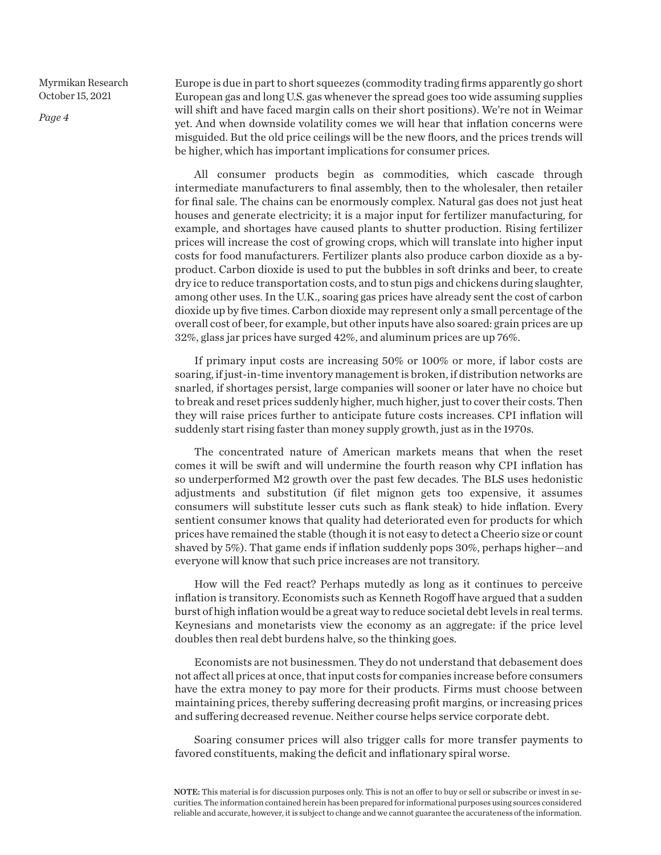*Page 4*

Europe is due in part to short squeezes (commodity trading firms apparently go short European gas and long U.S. gas whenever the spread goes too wide assuming supplies will shift and have faced margin calls on their short positions). We're not in Weimar yet. And when downside volatility comes we will hear that inflation concerns were misguided. But the old price ceilings will be the new floors, and the prices trends will be higher, which has important implications for consumer prices.

All consumer products begin as commodities, which cascade through intermediate manufacturers to final assembly, then to the wholesaler, then retailer for final sale. The chains can be enormously complex. Natural gas does not just heat houses and generate electricity; it is a major input for fertilizer manufacturing, for example, and shortages have caused plants to shutter production. Rising fertilizer prices will increase the cost of growing crops, which will translate into higher input costs for food manufacturers. Fertilizer plants also produce carbon dioxide as a byproduct. Carbon dioxide is used to put the bubbles in soft drinks and beer, to create dry ice to reduce transportation costs, and to stun pigs and chickens during slaughter, among other uses. In the U.K., soaring gas prices have already sent the cost of carbon dioxide up by five times. Carbon dioxide may represent only a small percentage of the overall cost of beer, for example, but other inputs have also soared: grain prices are up 32%, glass jar prices have surged 42%, and aluminum prices are up 76%.

If primary input costs are increasing 50% or 100% or more, if labor costs are soaring, if just-in-time inventory management is broken, if distribution networks are snarled, if shortages persist, large companies will sooner or later have no choice but to break and reset prices suddenly higher, much higher, just to cover their costs. Then they will raise prices further to anticipate future costs increases. CPI inflation will suddenly start rising faster than money supply growth, just as in the 1970s.

The concentrated nature of American markets means that when the reset comes it will be swift and will undermine the fourth reason why CPI inflation has so underperformed M2 growth over the past few decades. The BLS uses hedonistic adjustments and substitution (if filet mignon gets too expensive, it assumes consumers will substitute lesser cuts such as flank steak) to hide inflation. Every sentient consumer knows that quality had deteriorated even for products for which prices have remained the stable (though it is not easy to detect a Cheerio size or count shaved by 5%). That game ends if inflation suddenly pops 30%, perhaps higher—and everyone will know that such price increases are not transitory.

How will the Fed react? Perhaps mutedly as long as it continues to perceive inflation is transitory. Economists such as Kenneth Rogoff have argued that a sudden burst of high inflation would be a great way to reduce societal debt levels in real terms. Keynesians and monetarists view the economy as an aggregate: if the price level doubles then real debt burdens halve, so the thinking goes.

Economists are not businessmen. They do not understand that debasement does not affect all prices at once, that input costs for companies increase before consumers have the extra money to pay more for their products. Firms must choose between maintaining prices, thereby suffering decreasing profit margins, or increasing prices and suffering decreased revenue. Neither course helps service corporate debt.

Soaring consumer prices will also trigger calls for more transfer payments to favored constituents, making the deficit and inflationary spiral worse.

NOTE: This material is for discussion purposes only. This is not an offer to buy or sell or subscribe or invest in securities. The information contained herein has been prepared for informational purposes using sources considered reliable and accurate, however, it is subject to change and we cannot guarantee the accurateness of the information.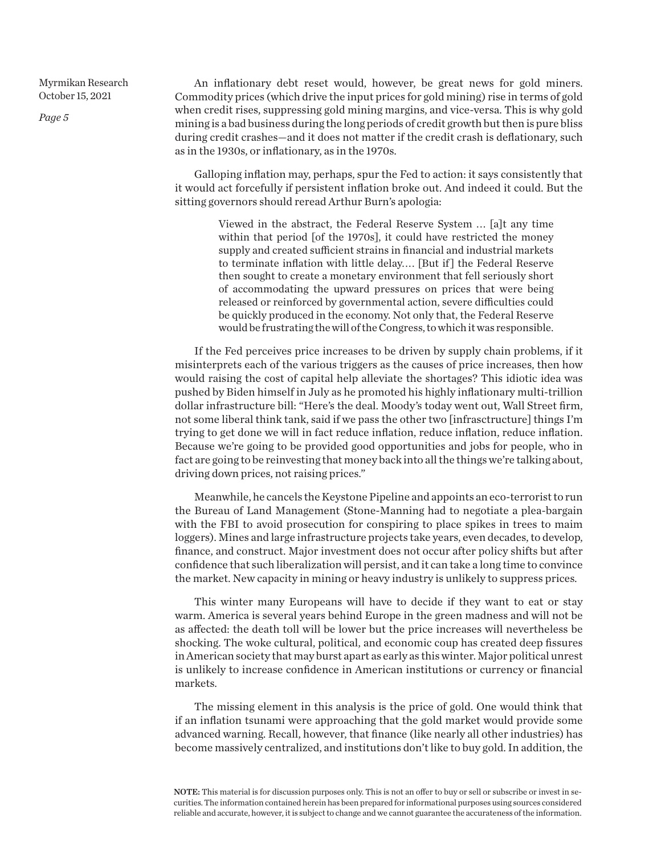*Page 5*

An inflationary debt reset would, however, be great news for gold miners. Commodity prices (which drive the input prices for gold mining) rise in terms of gold when credit rises, suppressing gold mining margins, and vice-versa. This is why gold mining is a bad business during the long periods of credit growth but then is pure bliss during credit crashes—and it does not matter if the credit crash is deflationary, such as in the 1930s, or inflationary, as in the 1970s.

Galloping inflation may, perhaps, spur the Fed to action: it says consistently that it would act forcefully if persistent inflation broke out. And indeed it could. But the sitting governors should reread Arthur Burn's apologia:

> Viewed in the abstract, the Federal Reserve System . . . [a]t any time within that period [of the 1970s], it could have restricted the money supply and created sufficient strains in financial and industrial markets to terminate inflation with little delay. . . . [But if ] the Federal Reserve then sought to create a monetary environment that fell seriously short of accommodating the upward pressures on prices that were being released or reinforced by governmental action, severe difficulties could be quickly produced in the economy. Not only that, the Federal Reserve would be frustrating the will of the Congress, to which it was responsible.

If the Fed perceives price increases to be driven by supply chain problems, if it misinterprets each of the various triggers as the causes of price increases, then how would raising the cost of capital help alleviate the shortages? This idiotic idea was pushed by Biden himself in July as he promoted his highly inflationary multi-trillion dollar infrastructure bill: "Here's the deal. Moody's today went out, Wall Street firm, not some liberal think tank, said if we pass the other two [infrasctructure] things I'm trying to get done we will in fact reduce inflation, reduce inflation, reduce inflation. Because we're going to be provided good opportunities and jobs for people, who in fact are going to be reinvesting that money back into all the things we're talking about, driving down prices, not raising prices."

Meanwhile, he cancels the Keystone Pipeline and appoints an eco-terrorist to run the Bureau of Land Management (Stone-Manning had to negotiate a plea-bargain with the FBI to avoid prosecution for conspiring to place spikes in trees to maim loggers). Mines and large infrastructure projects take years, even decades, to develop, finance, and construct. Major investment does not occur after policy shifts but after confidence that such liberalization will persist, and it can take a long time to convince the market. New capacity in mining or heavy industry is unlikely to suppress prices.

This winter many Europeans will have to decide if they want to eat or stay warm. America is several years behind Europe in the green madness and will not be as affected: the death toll will be lower but the price increases will nevertheless be shocking. The woke cultural, political, and economic coup has created deep fissures in American society that may burst apart as early as this winter. Major political unrest is unlikely to increase confidence in American institutions or currency or financial markets.

The missing element in this analysis is the price of gold. One would think that if an inflation tsunami were approaching that the gold market would provide some advanced warning. Recall, however, that finance (like nearly all other industries) has become massively centralized, and institutions don't like to buy gold. In addition, the

NOTE: This material is for discussion purposes only. This is not an offer to buy or sell or subscribe or invest in securities. The information contained herein has been prepared for informational purposes using sources considered reliable and accurate, however, it is subject to change and we cannot guarantee the accurateness of the information.